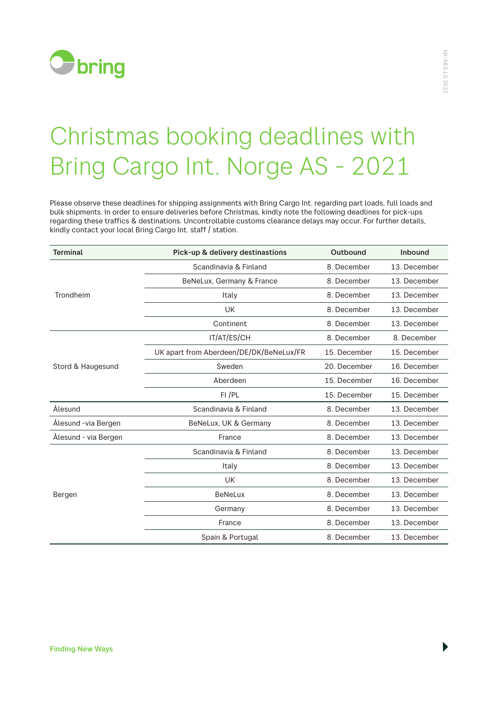

## Christmas booking deadlines with Bring Cargo Int. Norge AS - 2021

Please observe these deadlines for shipping assignments with Bring Cargo Int. regarding part loads, full loads and bulk shipments. In order to ensure deliveries before Christmas, kindly note the following deadlines for pick-ups regarding these traffics & destinations. Uncontrollable customs clearance delays may occur. For further details, kindly contact your local Bring Cargo Int. staff / station.

| <b>Terminal</b>      | Pick-up & delivery destinastions        | Outbound     | Inbound      |
|----------------------|-----------------------------------------|--------------|--------------|
| Trondheim            | Scandinavia & Finland                   | 8. December  | 13. December |
|                      | BeNeLux, Germany & France               | 8. December  | 13. December |
|                      | Italy                                   | 8. December  | 13. December |
|                      | <b>UK</b>                               | 8. December  | 13. December |
|                      | Continent                               | 8. December  | 13. December |
| Stord & Haugesund    | IT/AT/ES/CH                             | 8. December  | 8. December  |
|                      | UK apart from Aberdeen/DE/DK/BeNeLux/FR | 15. December | 15. December |
|                      | Sweden                                  | 20. December | 16. December |
|                      | Aberdeen                                | 15. December | 16. December |
|                      | $FI$ / $PL$                             | 15. December | 15. December |
| Ålesund              | Scandinavia & Finland                   | 8. December  | 13. December |
| Ålesund -via Bergen  | BeNeLux, UK & Germany                   | 8. December  | 13. December |
| Ålesund - via Bergen | France                                  | 8. December  | 13. December |
| Bergen               | Scandinavia & Finland                   | 8. December  | 13. December |
|                      | Italy                                   | 8. December  | 13. December |
|                      | <b>UK</b>                               | 8. December  | 13. December |
|                      | <b>BeNeLux</b>                          | 8. December  | 13. December |
|                      | Germany                                 | 8. December  | 13. December |
|                      | France                                  | 8. December  | 13. December |
|                      | Spain & Portugal                        | 8. December  | 13. December |